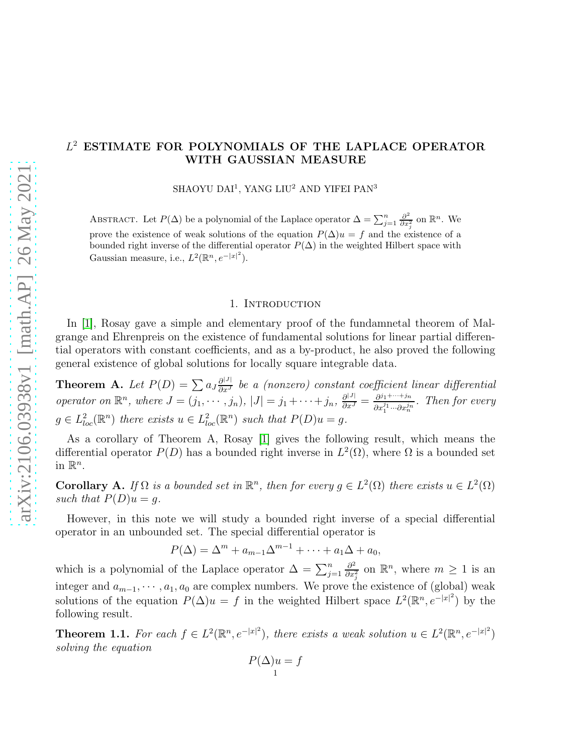# L <sup>2</sup> ESTIMATE FOR POLYNOMIALS OF THE LAPLACE OPERATOR WITH GAUSSIAN MEASURE

SHAOYU DAI<sup>1</sup>, YANG LIU<sup>2</sup> AND YIFEI PAN<sup>3</sup>

ABSTRACT. Let  $P(\Delta)$  be a polynomial of the Laplace operator  $\Delta = \sum_{j=1}^{n} \frac{\partial^2}{\partial x^2}$  $\frac{\partial^2}{\partial x_i^2}$  on  $\mathbb{R}^n$ . We prove the existence of weak solutions of the equation  $P(\Delta)u = f$  and the existence of a bounded right inverse of the differential operator  $P(\Delta)$  in the weighted Hilbert space with Gaussian measure, i.e.,  $L^2(\mathbb{R}^n, e^{-|x|^2})$ .

#### 1. INTRODUCTION

In [\[1\]](#page-8-0), Rosay gave a simple and elementary proof of the fundamnetal theorem of Malgrange and Ehrenpreis on the existence of fundamental solutions for linear partial differential operators with constant coefficients, and as a by-product, he also proved the following general existence of global solutions for locally square integrable data.

**Theorem A.** Let  $P(D) = \sum a_J \frac{\partial^{|J|}}{\partial x^J}$  be a (nonzero) constant coefficient linear differential operator on  $\mathbb{R}^n$ , where  $J = (j_1, \dots, j_n)$ ,  $|J| = j_1 + \dots + j_n$ ,  $\frac{\partial^{|J|}}{\partial x^J} = \frac{\partial^{j_1 + \dots + j_n}}{\partial x^{j_1} \dots \partial x^{j_n}}$  $\frac{\partial^{j_1+\cdots+j_n}}{\partial x_1^{j_1}\cdots \partial x_n^{j_n}}$ . Then for every  $g \in L^2_{loc}(\mathbb{R}^n)$  there exists  $u \in L^2_{loc}(\mathbb{R}^n)$  such that  $P(D)u = g$ .

As a corollary of Theorem A, Rosay [\[1\]](#page-8-0) gives the following result, which means the differential operator  $P(D)$  has a bounded right inverse in  $L^2(\Omega)$ , where  $\Omega$  is a bounded set in  $\mathbb{R}^n$ .

**Corollary A.** If  $\Omega$  is a bounded set in  $\mathbb{R}^n$ , then for every  $g \in L^2(\Omega)$  there exists  $u \in L^2(\Omega)$ such that  $P(D)u = g$ .

However, in this note we will study a bounded right inverse of a special differential operator in an unbounded set. The special differential operator is

 $P(\Delta) = \Delta^m + a_{m-1}\Delta^{m-1} + \cdots + a_1\Delta + a_0,$ 

which is a polynomial of the Laplace operator  $\Delta = \sum_{j=1}^n$  $\partial^2$  $\frac{\partial^2}{\partial x_j^2}$  on  $\mathbb{R}^n$ , where  $m \geq 1$  is an integer and  $a_{m-1}, \dots, a_1, a_0$  are complex numbers. We prove the existence of (global) weak solutions of the equation  $P(\Delta)u = f$  in the weighted Hilbert space  $L^2(\mathbb{R}^n, e^{-|x|^2})$  by the following result.

<span id="page-0-0"></span>**Theorem 1.1.** For each  $f \in L^2(\mathbb{R}^n, e^{-|x|^2})$ , there exists a weak solution  $u \in L^2(\mathbb{R}^n, e^{-|x|^2})$ solving the equation

$$
P(\Delta)u = f
$$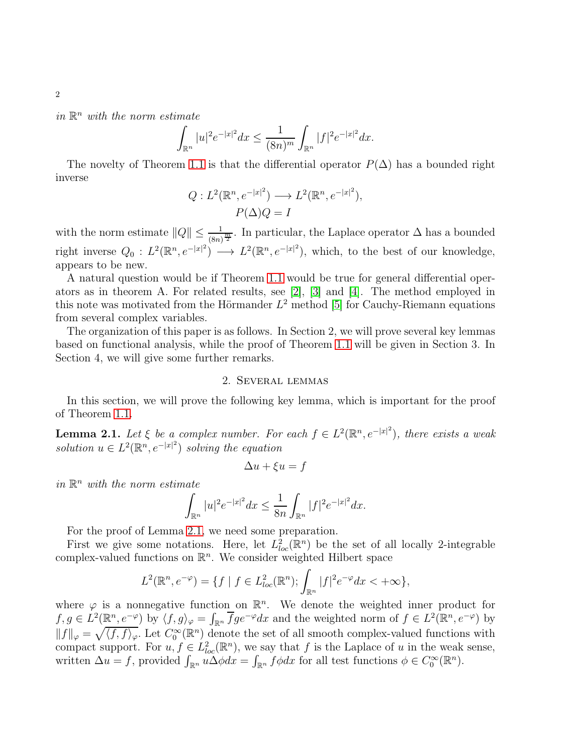in  $\mathbb{R}^n$  with the norm estimate

$$
\int_{\mathbb{R}^n} |u|^2 e^{-|x|^2} dx \le \frac{1}{(8n)^m} \int_{\mathbb{R}^n} |f|^2 e^{-|x|^2} dx.
$$

The novelty of Theorem [1.1](#page-0-0) is that the differential operator  $P(\Delta)$  has a bounded right inverse

$$
Q: L^2(\mathbb{R}^n, e^{-|x|^2}) \longrightarrow L^2(\mathbb{R}^n, e^{-|x|^2}),
$$
  

$$
P(\Delta)Q = I
$$

with the norm estimate  $||Q|| \leq \frac{1}{(8n)^{\frac{m}{2}}}$ . In particular, the Laplace operator  $\Delta$  has a bounded right inverse  $Q_0: L^2(\mathbb{R}^n, e^{-|x|^2}) \longrightarrow L^2(\mathbb{R}^n, e^{-|x|^2}),$  which, to the best of our knowledge, appears to be new.

A natural question would be if Theorem [1.1](#page-0-0) would be true for general differential operators as in theorem A. For related results, see [\[2\]](#page-8-1), [\[3\]](#page-8-2) and [\[4\]](#page-8-3). The method employed in this note was motivated from the Hörmander  $L^2$  method [\[5\]](#page-8-4) for Cauchy-Riemann equations from several complex variables.

The organization of this paper is as follows. In Section 2, we will prove several key lemmas based on functional analysis, while the proof of Theorem [1.1](#page-0-0) will be given in Section 3. In Section 4, we will give some further remarks.

### 2. Several lemmas

In this section, we will prove the following key lemma, which is important for the proof of Theorem [1.1.](#page-0-0)

<span id="page-1-0"></span>**Lemma 2.1.** Let  $\xi$  be a complex number. For each  $f \in L^2(\mathbb{R}^n, e^{-|x|^2})$ , there exists a weak solution  $u \in L^2(\mathbb{R}^n, e^{-|x|^2})$  solving the equation

$$
\Delta u + \xi u = f
$$

in  $\mathbb{R}^n$  with the norm estimate

$$
\int_{\mathbb{R}^n} |u|^2 e^{-|x|^2} dx \le \frac{1}{8n} \int_{\mathbb{R}^n} |f|^2 e^{-|x|^2} dx.
$$

For the proof of Lemma [2.1,](#page-1-0) we need some preparation.

First we give some notations. Here, let  $L^2_{loc}(\mathbb{R}^n)$  be the set of all locally 2-integrable complex-valued functions on  $\mathbb{R}^n$ . We consider weighted Hilbert space

$$
L^2(\mathbb{R}^n, e^{-\varphi}) = \{ f \mid f \in L^2_{loc}(\mathbb{R}^n); \int_{\mathbb{R}^n} |f|^2 e^{-\varphi} dx < +\infty \},
$$

where  $\varphi$  is a nonnegative function on  $\mathbb{R}^n$ . We denote the weighted inner product for  $f, g \in L^2(\mathbb{R}^n, e^{-\varphi})$  by  $\langle f, g \rangle_{\varphi} = \int_{\mathbb{R}^n} \overline{f} g e^{-\varphi} dx$  and the weighted norm of  $f \in L^2(\mathbb{R}^n, e^{-\varphi})$  by  $||f||_{\varphi} = \sqrt{\langle f, f \rangle_{\varphi}}$ . Let  $C_0^{\infty}(\mathbb{R}^n)$  denote the set of all smooth complex-valued functions with compact support. For  $u, f \in L^2_{loc}(\mathbb{R}^n)$ , we say that f is the Laplace of u in the weak sense, written  $\Delta u = f$ , provided  $\int_{\mathbb{R}^n} u \Delta \phi dx = \int_{\mathbb{R}^n} f \phi dx$  for all test functions  $\phi \in C_0^{\infty}(\mathbb{R}^n)$ .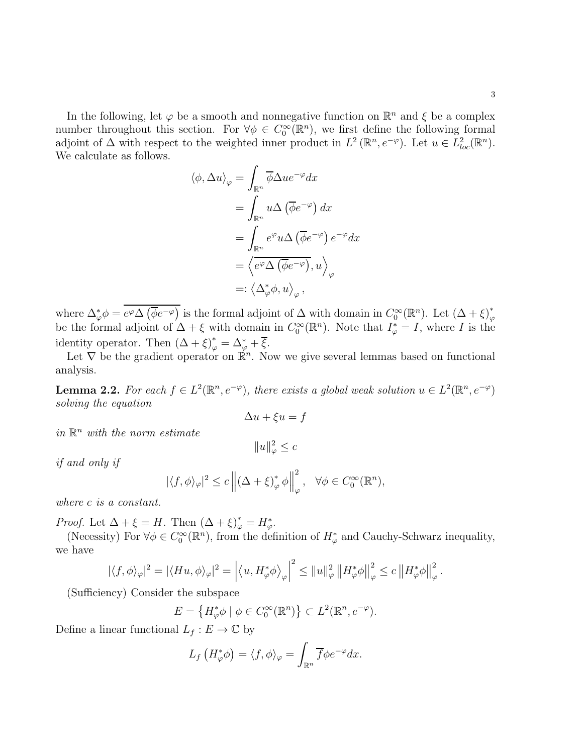In the following, let  $\varphi$  be a smooth and nonnegative function on  $\mathbb{R}^n$  and  $\xi$  be a complex number throughout this section. For  $\forall \phi \in C_0^{\infty}(\mathbb{R}^n)$ , we first define the following formal adjoint of  $\Delta$  with respect to the weighted inner product in  $L^2(\mathbb{R}^n, e^{-\varphi})$ . Let  $u \in L^2_{loc}(\mathbb{R}^n)$ . We calculate as follows.

$$
\langle \phi, \Delta u \rangle_{\varphi} = \int_{\mathbb{R}^n} \overline{\phi} \Delta u e^{-\varphi} dx
$$
  
= 
$$
\int_{\mathbb{R}^n} u \Delta (\overline{\phi} e^{-\varphi}) dx
$$
  
= 
$$
\int_{\mathbb{R}^n} e^{\varphi} u \Delta (\overline{\phi} e^{-\varphi}) e^{-\varphi} dx
$$
  
= 
$$
\langle e^{\varphi} \Delta (\overline{\phi} e^{-\varphi}), u \rangle_{\varphi}
$$
  
=: 
$$
\langle \Delta_{\varphi}^* \phi, u \rangle_{\varphi},
$$

where  $\Delta_{\varphi}^* \phi = \overline{e^{\varphi} \Delta \left( \overline{\phi} e^{-\varphi} \right)}$  is the formal adjoint of  $\Delta$  with domain in  $C_0^{\infty}(\mathbb{R}^n)$ . Let  $(\Delta + \xi)_{\varphi}^*$ be the formal adjoint of  $\Delta + \xi$  with domain in  $C_0^{\infty}(\mathbb{R}^n)$ . Note that  $I_{\varphi}^* = I$ , where I is the identity operator. Then  $(\Delta + \xi)^*_{\varphi} = \Delta^*_{\varphi} + \xi$ .

Let  $\nabla$  be the gradient operator on  $\mathbb{R}^n$ . Now we give several lemmas based on functional analysis.

<span id="page-2-0"></span>**Lemma 2.2.** For each  $f \in L^2(\mathbb{R}^n, e^{-\varphi})$ , there exists a global weak solution  $u \in L^2(\mathbb{R}^n, e^{-\varphi})$ solving the equation

$$
\Delta u + \xi u = f
$$

in  $\mathbb{R}^n$  with the norm estimate

$$
||u||_{\varphi}^2 \leq c
$$

if and only if

$$
|\langle f, \phi \rangle_{\varphi}|^2 \le c \left\| (\Delta + \xi)^*_{\varphi} \phi \right\|_{\varphi}^2, \quad \forall \phi \in C_0^{\infty}(\mathbb{R}^n),
$$

where c is a constant.

*Proof.* Let  $\Delta + \xi = H$ . Then  $(\Delta + \xi)^*_{\varphi} = H^*_{\varphi}$ .

(Necessity) For  $\forall \phi \in C_0^{\infty}(\mathbb{R}^n)$ , from the definition of  $H_{\varphi}^*$  and Cauchy-Schwarz inequality, we have

$$
|\langle f, \phi \rangle_{\varphi}|^2 = |\langle Hu, \phi \rangle_{\varphi}|^2 = \left| \langle u, H_{\varphi}^* \phi \rangle_{\varphi} \right|^2 \leq \|u\|_{\varphi}^2 \left| H_{\varphi}^* \phi \right|_{\varphi}^2 \leq c \left| H_{\varphi}^* \phi \right|_{\varphi}^2.
$$

(Sufficiency) Consider the subspace

$$
E = \left\{ H_{\varphi}^* \phi \mid \phi \in C_0^{\infty}(\mathbb{R}^n) \right\} \subset L^2(\mathbb{R}^n, e^{-\varphi}).
$$

Define a linear functional  $L_f : E \to \mathbb{C}$  by

$$
L_f\left(H_{\varphi}^*\phi\right) = \langle f, \phi \rangle_{\varphi} = \int_{\mathbb{R}^n} \overline{f} \phi e^{-\varphi} dx.
$$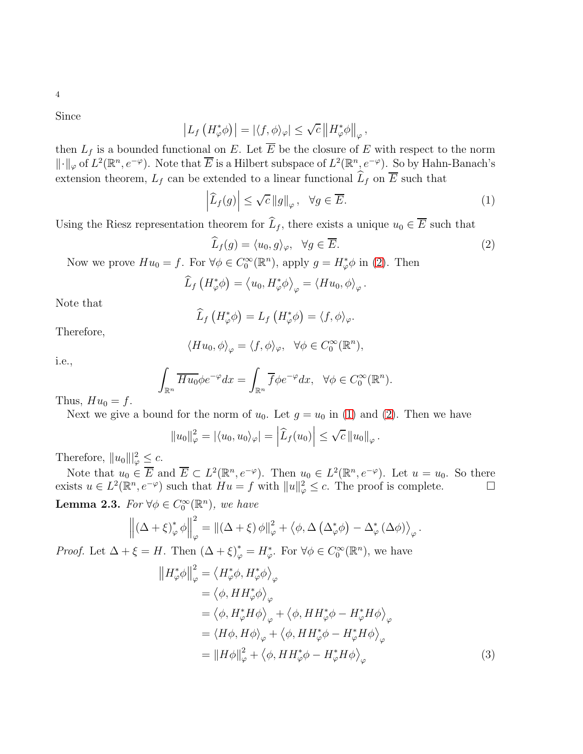Since

$$
\left| L_f \left( H_{\varphi}^* \phi \right) \right| = \left| \langle f, \phi \rangle_{\varphi} \right| \leq \sqrt{c} \left\| H_{\varphi}^* \phi \right\|_{\varphi},
$$

then  $L_f$  is a bounded functional on E. Let  $\overline{E}$  be the closure of E with respect to the norm  $\Vert \cdot \Vert_{\varphi}$  of  $L^2(\mathbb{R}^n, e^{-\varphi})$ . Note that  $\overline{E}$  is a Hilbert subspace of  $L^2(\mathbb{R}^n, e^{-\varphi})$ . So by Hahn-Banach's extension theorem,  $L_f$  can be extended to a linear functional  $\widehat{L}_f$  on  $\overline{E}$  such that

<span id="page-3-1"></span>
$$
\left|\widehat{L}_f(g)\right| \le \sqrt{c} \left\|g\right\|_{\varphi}, \quad \forall g \in \overline{E}.\tag{1}
$$

Using the Riesz representation theorem for  $\widehat{L}_f$ , there exists a unique  $u_0 \in \overline{E}$  such that

<span id="page-3-0"></span>
$$
\widehat{L}_f(g) = \langle u_0, g \rangle_{\varphi}, \quad \forall g \in \overline{E}.\tag{2}
$$

Now we prove  $Hu_0 = f$ . For  $\forall \phi \in C_0^{\infty}(\mathbb{R}^n)$ , apply  $g = H_{\varphi}^* \phi$  in [\(2\)](#page-3-0). Then

$$
\widehat{L}_f\left(H_{\varphi}^*\phi\right) = \left\langle u_0, H_{\varphi}^*\phi\right\rangle_{\varphi} = \left\langle Hu_0, \phi\right\rangle_{\varphi}.
$$

Note that

$$
\widehat{L}_f\left(H_{\varphi}^*\phi\right)=L_f\left(H_{\varphi}^*\phi\right)=\langle f,\phi\rangle_{\varphi}.
$$

Therefore,

$$
\langle H u_0, \phi \rangle_{\varphi} = \langle f, \phi \rangle_{\varphi}, \quad \forall \phi \in C_0^{\infty}(\mathbb{R}^n),
$$

i.e.,

$$
\int_{\mathbb{R}^n} \overline{H u_0} \phi e^{-\varphi} dx = \int_{\mathbb{R}^n} \overline{f} \phi e^{-\varphi} dx, \quad \forall \phi \in C_0^{\infty}(\mathbb{R}^n).
$$

Thus,  $Hu_0 = f$ .

Next we give a bound for the norm of  $u_0$ . Let  $g = u_0$  in [\(1\)](#page-3-1) and [\(2\)](#page-3-0). Then we have

$$
||u_0||_{\varphi}^2 = |\langle u_0, u_0 \rangle_{\varphi}| = \left|\widehat{L}_f(u_0)\right| \leq \sqrt{c} ||u_0||_{\varphi}.
$$

Therefore,  $||u_0||_{\varphi}^2 \leq c$ .

Note that  $u_0 \in \overline{E}$  and  $\overline{E} \subset L^2(\mathbb{R}^n, e^{-\varphi})$ . Then  $u_0 \in L^2(\mathbb{R}^n, e^{-\varphi})$ . Let  $u = u_0$ . So there exists  $u \in L^2(\mathbb{R}^n, e^{-\varphi})$  such that  $Hu = f$  with  $||u||_{\varphi}^2 \le c$ . The proof is complete.

<span id="page-3-3"></span>**Lemma 2.3.** For  $\forall \phi \in C_0^{\infty}(\mathbb{R}^n)$ , we have

$$
\left\| \left( \Delta + \xi \right)^*_{\varphi} \phi \right\|_{\varphi}^2 = \left\| \left( \Delta + \xi \right) \phi \right\|_{\varphi}^2 + \left\langle \phi, \Delta \left( \Delta^*_{\varphi} \phi \right) - \Delta^*_{\varphi} \left( \Delta \phi \right) \right\rangle_{\varphi}.
$$

*Proof.* Let  $\Delta + \xi = H$ . Then  $(\Delta + \xi)^*_{\varphi} = H^*_{\varphi}$ . For  $\forall \phi \in C_0^{\infty}(\mathbb{R}^n)$ , we have

<span id="page-3-2"></span>
$$
\|H_{\varphi}^{*}\phi\|_{\varphi}^{2} = \langle H_{\varphi}^{*}\phi, H_{\varphi}^{*}\phi\rangle_{\varphi} \n= \langle \phi, H H_{\varphi}^{*}\phi \rangle_{\varphi} \n= \langle \phi, H_{\varphi}^{*}H\phi \rangle_{\varphi} + \langle \phi, H H_{\varphi}^{*}\phi - H_{\varphi}^{*}H\phi \rangle_{\varphi} \n= \langle H\phi, H\phi \rangle_{\varphi} + \langle \phi, H H_{\varphi}^{*}\phi - H_{\varphi}^{*}H\phi \rangle_{\varphi} \n= \|H\phi\|_{\varphi}^{2} + \langle \phi, H H_{\varphi}^{*}\phi - H_{\varphi}^{*}H\phi \rangle_{\varphi}
$$
\n(3)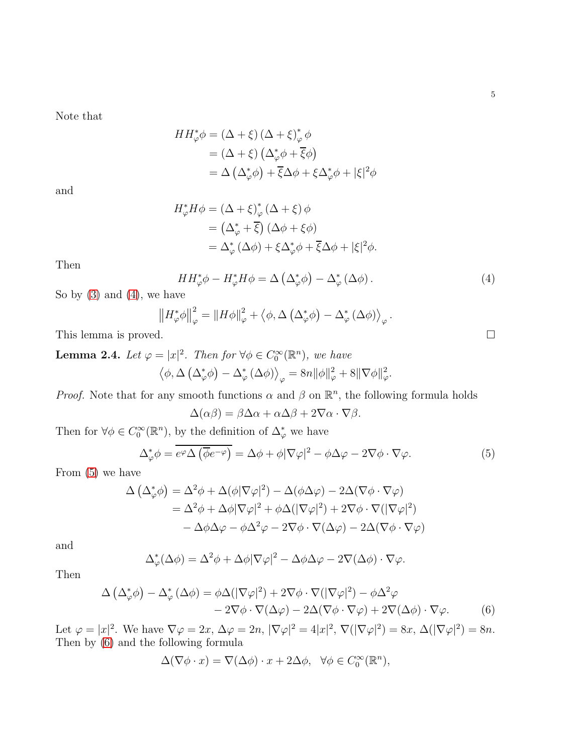Note that

$$
HH_{\varphi}^* \phi = (\Delta + \xi) (\Delta + \xi)_{\varphi}^* \phi
$$
  
= (\Delta + \xi) (\Delta\_{\varphi}^\* \phi + \overline{\xi} \phi)  
= \Delta (\Delta\_{\varphi}^\* \phi) + \overline{\xi} \Delta \phi + \xi \Delta\_{\varphi}^\* \phi + |\xi|^2 \phi

and

$$
H_{\varphi}^* H \phi = (\Delta + \xi)_{\varphi}^* (\Delta + \xi) \phi
$$
  
=  $(\Delta_{\varphi}^* + \overline{\xi}) (\Delta \phi + \xi \phi)$   
=  $\Delta_{\varphi}^* (\Delta \phi) + \xi \Delta_{\varphi}^* \phi + \overline{\xi} \Delta \phi + |\xi|^2 \phi.$ 

Then

<span id="page-4-0"></span>
$$
HH_{\varphi}^*\phi - H_{\varphi}^*H\phi = \Delta\left(\Delta_{\varphi}^*\phi\right) - \Delta_{\varphi}^*\left(\Delta\phi\right). \tag{4}
$$

So by  $(3)$  and  $(4)$ , we have

$$
\left\|H_{\varphi}^*\phi\right\|_{\varphi}^2 = \left\|H\phi\right\|_{\varphi}^2 + \left\langle\phi,\Delta\left(\Delta_{\varphi}^*\phi\right) - \Delta_{\varphi}^*\left(\Delta\phi\right)\right\rangle_{\varphi}.
$$

This lemma is proved.

<span id="page-4-3"></span>**Lemma 2.4.** Let  $\varphi = |x|^2$ . Then for  $\forall \phi \in C_0^{\infty}(\mathbb{R}^n)$ , we have  $\langle \phi, \Delta \left( \Delta_{\varphi}^* \phi \right) - \Delta_{\varphi}^* \left( \Delta \phi \right) \rangle_{\varphi} = 8n \|\phi\|_{\varphi}^2 + 8 \|\nabla \phi\|_{\varphi}^2.$ 

*Proof.* Note that for any smooth functions  $\alpha$  and  $\beta$  on  $\mathbb{R}^n$ , the following formula holds

$$
\Delta(\alpha\beta) = \beta\Delta\alpha + \alpha\Delta\beta + 2\nabla\alpha \cdot \nabla\beta.
$$

Then for  $\forall \phi \in C_0^{\infty}(\mathbb{R}^n)$ , by the definition of  $\Delta_{\varphi}^*$  we have

$$
\Delta_{\varphi}^* \phi = \overline{e^{\varphi} \Delta \left(\overline{\phi} e^{-\varphi}\right)} = \Delta \phi + \phi |\nabla \varphi|^2 - \phi \Delta \varphi - 2 \nabla \phi \cdot \nabla \varphi. \tag{5}
$$

From [\(5\)](#page-4-1) we have

$$
\Delta (\Delta_{\varphi}^* \phi) = \Delta^2 \phi + \Delta(\phi |\nabla \varphi|^2) - \Delta(\phi \Delta \varphi) - 2\Delta(\nabla \phi \cdot \nabla \varphi)
$$
  
=  $\Delta^2 \phi + \Delta \phi |\nabla \varphi|^2 + \phi \Delta(|\nabla \varphi|^2) + 2\nabla \phi \cdot \nabla(|\nabla \varphi|^2)$   
-  $\Delta \phi \Delta \varphi - \phi \Delta^2 \varphi - 2\nabla \phi \cdot \nabla(\Delta \varphi) - 2\Delta(\nabla \phi \cdot \nabla \varphi)$ 

and

$$
\Delta_{\varphi}^{*}(\Delta \phi) = \Delta^{2} \phi + \Delta \phi |\nabla \varphi|^{2} - \Delta \phi \Delta \varphi - 2\nabla(\Delta \phi) \cdot \nabla \varphi.
$$

Then

$$
\Delta \left( \Delta_{\varphi}^{*} \phi \right) - \Delta_{\varphi}^{*} \left( \Delta \phi \right) = \phi \Delta (|\nabla \varphi|^{2}) + 2 \nabla \phi \cdot \nabla (|\nabla \varphi|^{2}) - \phi \Delta^{2} \varphi - 2 \nabla \phi \cdot \nabla (\Delta \varphi) - 2 \Delta (\nabla \phi \cdot \nabla \varphi) + 2 \nabla (\Delta \phi) \cdot \nabla \varphi.
$$
(6)

Let  $\varphi = |x|^2$ . We have  $\nabla \varphi = 2x$ ,  $\Delta \varphi = 2n$ ,  $|\nabla \varphi|^2 = 4|x|^2$ ,  $\nabla (|\nabla \varphi|^2) = 8x$ ,  $\Delta (|\nabla \varphi|^2) = 8n$ . Then by [\(6\)](#page-4-2) and the following formula

$$
\Delta(\nabla\phi \cdot x) = \nabla(\Delta\phi) \cdot x + 2\Delta\phi, \quad \forall \phi \in C_0^{\infty}(\mathbb{R}^n),
$$

<span id="page-4-2"></span><span id="page-4-1"></span>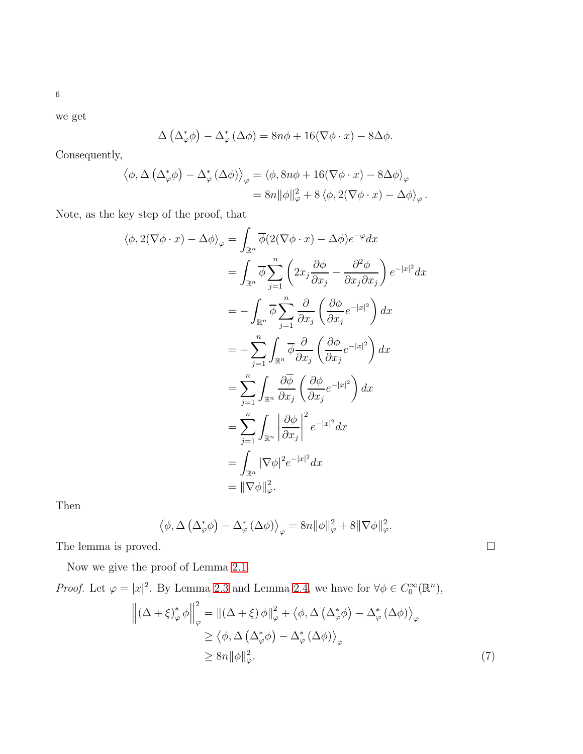6

we get

$$
\Delta (\Delta_{\varphi}^* \phi) - \Delta_{\varphi}^* (\Delta \phi) = 8n\phi + 16(\nabla \phi \cdot x) - 8\Delta \phi.
$$

Consequently,

$$
\langle \phi, \Delta (\Delta_{\varphi}^* \phi) - \Delta_{\varphi}^* (\Delta \phi) \rangle_{\varphi} = \langle \phi, 8n\phi + 16(\nabla \phi \cdot x) - 8\Delta \phi \rangle_{\varphi}
$$
  
= 
$$
8n \|\phi\|_{\varphi}^2 + 8 \langle \phi, 2(\nabla \phi \cdot x) - \Delta \phi \rangle_{\varphi}.
$$

Note, as the key step of the proof, that

$$
\langle \phi, 2(\nabla \phi \cdot x) - \Delta \phi \rangle_{\varphi} = \int_{\mathbb{R}^n} \overline{\phi} \langle 2(\nabla \phi \cdot x) - \Delta \phi \rangle e^{-\varphi} dx
$$
  
\n
$$
= \int_{\mathbb{R}^n} \overline{\phi} \sum_{j=1}^n \left( 2x_j \frac{\partial \phi}{\partial x_j} - \frac{\partial^2 \phi}{\partial x_j \partial x_j} \right) e^{-|x|^2} dx
$$
  
\n
$$
= - \int_{\mathbb{R}^n} \overline{\phi} \sum_{j=1}^n \frac{\partial}{\partial x_j} \left( \frac{\partial \phi}{\partial x_j} e^{-|x|^2} \right) dx
$$
  
\n
$$
= - \sum_{j=1}^n \int_{\mathbb{R}^n} \overline{\phi} \frac{\partial}{\partial x_j} \left( \frac{\partial \phi}{\partial x_j} e^{-|x|^2} \right) dx
$$
  
\n
$$
= \sum_{j=1}^n \int_{\mathbb{R}^n} \frac{\partial \overline{\phi}}{\partial x_j} \left( \frac{\partial \phi}{\partial x_j} e^{-|x|^2} \right) dx
$$
  
\n
$$
= \sum_{j=1}^n \int_{\mathbb{R}^n} \left| \frac{\partial \phi}{\partial x_j} \right|^2 e^{-|x|^2} dx
$$
  
\n
$$
= \int_{\mathbb{R}^n} |\nabla \phi|^2 e^{-|x|^2} dx
$$
  
\n
$$
= \|\nabla \phi\|_{\varphi}^2.
$$

Then

<span id="page-5-0"></span>
$$
\left\langle \phi, \Delta \left( \Delta_{\varphi}^* \phi \right) - \Delta_{\varphi}^* \left( \Delta \phi \right) \right\rangle_{\varphi} = 8n \|\phi\|_{\varphi}^2 + 8 \|\nabla \phi\|_{\varphi}^2.
$$

The lemma is proved.  $\hfill \square$ 

Now we give the proof of Lemma [2.1.](#page-1-0)

*Proof.* Let  $\varphi = |x|^2$ . By Lemma [2.3](#page-3-3) and Lemma [2.4,](#page-4-3) we have for  $\forall \phi \in C_0^{\infty}(\mathbb{R}^n)$ ,

$$
\left\| \left( \Delta + \xi \right)^*_{\varphi} \phi \right\|_{\varphi}^2 = \left\| \left( \Delta + \xi \right) \phi \right\|_{\varphi}^2 + \left\langle \phi, \Delta \left( \Delta^*_{\varphi} \phi \right) - \Delta^*_{\varphi} \left( \Delta \phi \right) \right\rangle_{\varphi} \n\ge \left\langle \phi, \Delta \left( \Delta^*_{\varphi} \phi \right) - \Delta^*_{\varphi} \left( \Delta \phi \right) \right\rangle_{\varphi} \n\ge 8n \|\phi\|_{\varphi}^2.
$$
\n(7)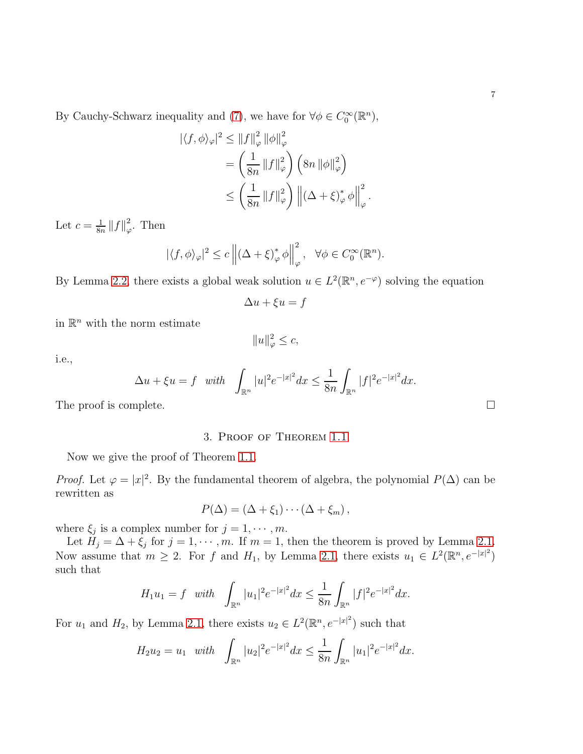7

By Cauchy-Schwarz inequality and [\(7\)](#page-5-0), we have for  $\forall \phi \in C_0^{\infty}(\mathbb{R}^n)$ ,

$$
\begin{aligned} |\langle f, \phi \rangle_{\varphi}|^{2} &\leq \|f\|_{\varphi}^{2} \|\phi\|_{\varphi}^{2} \\ &= \left(\frac{1}{8n} \|f\|_{\varphi}^{2}\right) \left(8n \|\phi\|_{\varphi}^{2}\right) \\ &\leq \left(\frac{1}{8n} \|f\|_{\varphi}^{2}\right) \left\| \left(\Delta + \xi\right)_{\varphi}^{*} \phi \right\|_{\varphi}^{2} .\end{aligned}
$$

Let  $c=\frac{1}{8r}$  $\frac{1}{8n}$   $||f||^2_\varphi$  $\frac{2}{\varphi}$ . Then

$$
|\langle f, \phi \rangle_{\varphi}|^2 \le c \left\| (\Delta + \xi)^*_{\varphi} \phi \right\|_{\varphi}^2, \quad \forall \phi \in C_0^{\infty}(\mathbb{R}^n).
$$

By Lemma [2.2,](#page-2-0) there exists a global weak solution  $u \in L^2(\mathbb{R}^n, e^{-\varphi})$  solving the equation

$$
\Delta u + \xi u = f
$$

in  $\mathbb{R}^n$  with the norm estimate

$$
||u||_{\varphi}^2 \leq c,
$$

i.e.,

$$
\Delta u + \xi u = f \quad with \quad \int_{\mathbb{R}^n} |u|^2 e^{-|x|^2} dx \le \frac{1}{8n} \int_{\mathbb{R}^n} |f|^2 e^{-|x|^2} dx.
$$

The proof is complete.  $\Box$ 

### 3. Proof of Theorem [1.1](#page-0-0)

Now we give the proof of Theorem [1.1.](#page-0-0)

*Proof.* Let  $\varphi = |x|^2$ . By the fundamental theorem of algebra, the polynomial  $P(\Delta)$  can be rewritten as

$$
P(\Delta)=(\Delta+\xi_1)\cdots(\Delta+\xi_m)\,,
$$

where  $\xi_j$  is a complex number for  $j = 1, \dots, m$ .

Let  $H_j = \Delta + \xi_j$  for  $j = 1, \dots, m$ . If  $m = 1$ , then the theorem is proved by Lemma [2.1.](#page-1-0) Now assume that  $m \geq 2$ . For f and  $H_1$ , by Lemma [2.1,](#page-1-0) there exists  $u_1 \in L^2(\mathbb{R}^n, e^{-|x|^2})$ such that

$$
H_1 u_1 = f \quad with \quad \int_{\mathbb{R}^n} |u_1|^2 e^{-|x|^2} dx \le \frac{1}{8n} \int_{\mathbb{R}^n} |f|^2 e^{-|x|^2} dx.
$$

For  $u_1$  and  $H_2$ , by Lemma [2.1,](#page-1-0) there exists  $u_2 \in L^2(\mathbb{R}^n, e^{-|x|^2})$  such that

$$
H_2 u_2 = u_1 \quad with \quad \int_{\mathbb{R}^n} |u_2|^2 e^{-|x|^2} dx \le \frac{1}{8n} \int_{\mathbb{R}^n} |u_1|^2 e^{-|x|^2} dx.
$$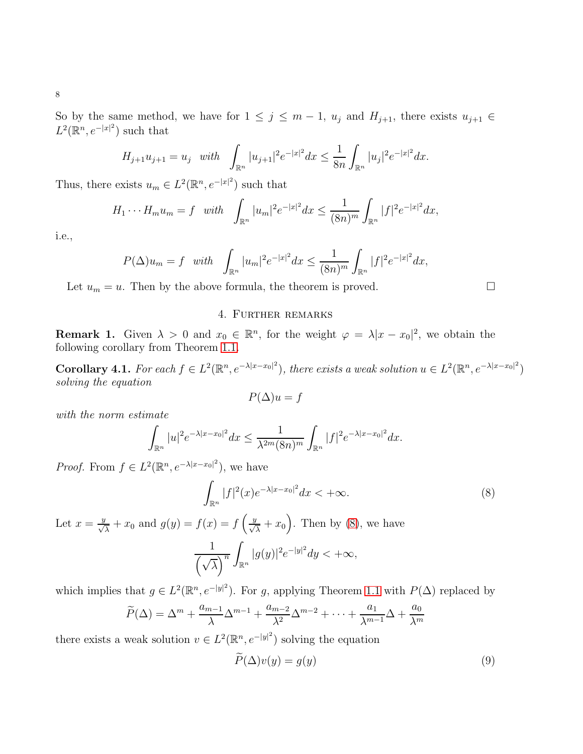So by the same method, we have for  $1 \leq j \leq m-1$ ,  $u_j$  and  $H_{j+1}$ , there exists  $u_{j+1} \in$  $L^2(\mathbb{R}^n, e^{-|x|^2})$  such that

$$
H_{j+1}u_{j+1} = u_j \quad with \quad \int_{\mathbb{R}^n} |u_{j+1}|^2 e^{-|x|^2} dx \le \frac{1}{8n} \int_{\mathbb{R}^n} |u_j|^2 e^{-|x|^2} dx.
$$

Thus, there exists  $u_m \in L^2(\mathbb{R}^n, e^{-|x|^2})$  such that

$$
H_1 \cdots H_m u_m = f \quad with \quad \int_{\mathbb{R}^n} |u_m|^2 e^{-|x|^2} dx \le \frac{1}{(8n)^m} \int_{\mathbb{R}^n} |f|^2 e^{-|x|^2} dx,
$$

i.e.,

$$
P(\Delta)u_m = f \quad with \quad \int_{\mathbb{R}^n} |u_m|^2 e^{-|x|^2} dx \le \frac{1}{(8n)^m} \int_{\mathbb{R}^n} |f|^2 e^{-|x|^2} dx,
$$

Let  $u_m = u$ . Then by the above formula, the theorem is proved.  $\Box$ 

## 4. Further remarks

**Remark 1.** Given  $\lambda > 0$  and  $x_0 \in \mathbb{R}^n$ , for the weight  $\varphi = \lambda |x - x_0|^2$ , we obtain the following corollary from Theorem [1.1.](#page-0-0)

**Corollary 4.1.** For each  $f \in L^2(\mathbb{R}^n, e^{-\lambda|x-x_0|^2})$ , there exists a weak solution  $u \in L^2(\mathbb{R}^n, e^{-\lambda|x-x_0|^2})$ solving the equation

$$
P(\Delta)u = f
$$

with the norm estimate

$$
\int_{\mathbb{R}^n} |u|^2 e^{-\lambda |x-x_0|^2} dx \le \frac{1}{\lambda^{2m} (8n)^m} \int_{\mathbb{R}^n} |f|^2 e^{-\lambda |x-x_0|^2} dx.
$$

*Proof.* From  $f \in L^2(\mathbb{R}^n, e^{-\lambda |x-x_0|^2})$ , we have

<span id="page-7-0"></span>
$$
\int_{\mathbb{R}^n} |f|^2(x)e^{-\lambda|x-x_0|^2}dx < +\infty.
$$
 (8)

Let  $x = \frac{y}{\sqrt{\lambda}} + x_0$  and  $g(y) = f(x) = f\left(\frac{y}{\sqrt{\lambda}} + x_0\right)$ . Then by [\(8\)](#page-7-0), we have

$$
\frac{1}{\left(\sqrt{\lambda}\right)^n} \int_{\mathbb{R}^n} |g(y)|^2 e^{-|y|^2} dy < +\infty,
$$

which implies that  $g \in L^2(\mathbb{R}^n, e^{-|y|^2})$ . For g, applying Theorem [1.1](#page-0-0) with  $P(\Delta)$  replaced by

$$
\widetilde{P}(\Delta) = \Delta^m + \frac{a_{m-1}}{\lambda} \Delta^{m-1} + \frac{a_{m-2}}{\lambda^2} \Delta^{m-2} + \dots + \frac{a_1}{\lambda^{m-1}} \Delta + \frac{a_0}{\lambda^m}
$$

there exists a weak solution  $v \in L^2(\mathbb{R}^n, e^{-|y|^2})$  solving the equation

<span id="page-7-1"></span>
$$
P(\Delta)v(y) = g(y) \tag{9}
$$